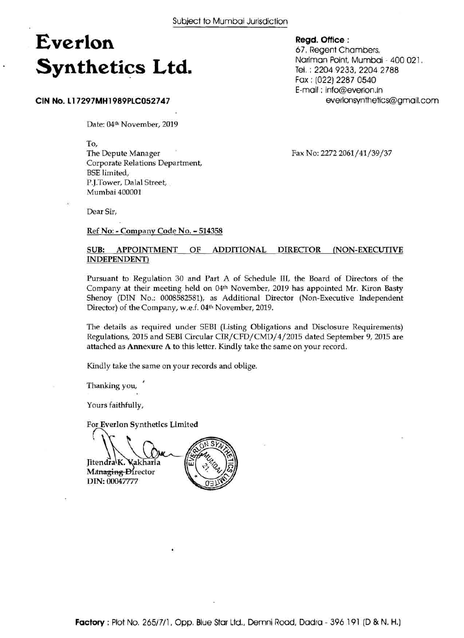# **Everlon Synthetics Ltd.**

#### **CIN No. 11 7297MH1989PLC052747**

Date: 04th November, 2019

To,

The Depute Manager Corporate Relations Department, BSE limited, P.I.Tower, Dalal Street, Mumbai 400001

Fax No: 2272 2061/41/39/37

Dear Sir,

Ref No: - Company Code No. - <sup>514358</sup>

### SUB: APPOINTMENT OF ADDITIONAL DIRECTOR (NON-EXECUTIVE INDEPENDENT)

Pursuant to Regulation 30 and Part A of Schedule 111, the Board of Directors of the Company at their meeting held on 04th November, 2019 has appointed Mr. Kiron Basty Shenoy (DIN No.: 0008582581), as Additional Director (Non-Executive Independent Director) of the Company, w.e.f. 04<sup>th</sup> November, 2019.

The details as required under SEBI (Listing Obligations and Disclosure Requirements) Regulations, 2015 and SEBI Circular CIR/CFD/CMD/4/2015 dated September 9,2015 are attached as Annexure A to this letter. Kindly take the same on your record.

Kindly take the same on your records and oblige.

Thanking you,

Yours faithfully,

For Everlon Synthetics Limited  $\bigcap_{k=1}^{\infty}$ 

Jitendra<sup>k</sup>. Vakharia Managing Director DIN: 00047777

**Regd. Office** :

67, Regent Chambers, Nariman Point, Mumbai - 400 021. **Tel.** : 2204 9233, 2204 2788 Fax : (022) 2287 0540 E-mail : info@everlon.in everlonsynthetics@gmail.com